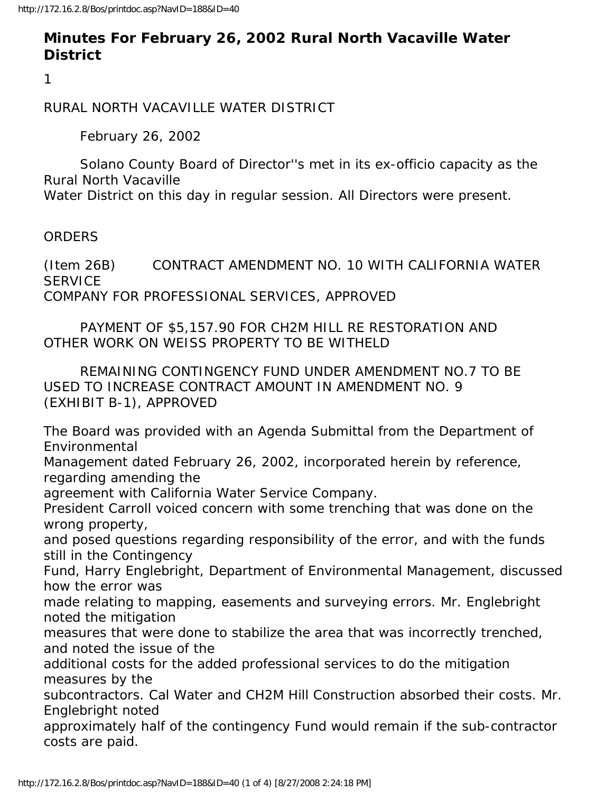## **Minutes For February 26, 2002 Rural North Vacaville Water District**

1

RURAL NORTH VACAVILLE WATER DISTRICT

February 26, 2002

 Solano County Board of Director''s met in its ex-officio capacity as the Rural North Vacaville

Water District on this day in regular session. All Directors were present.

**ORDERS** 

(Item 26B) CONTRACT AMENDMENT NO. 10 WITH CALIFORNIA WATER **SERVICE** COMPANY FOR PROFESSIONAL SERVICES, APPROVED

 PAYMENT OF \$5,157.90 FOR CH2M HILL RE RESTORATION AND OTHER WORK ON WEISS PROPERTY TO BE WITHELD

 REMAINING CONTINGENCY FUND UNDER AMENDMENT NO.7 TO BE USED TO INCREASE CONTRACT AMOUNT IN AMENDMENT NO. 9 (EXHIBIT B-1), APPROVED

The Board was provided with an Agenda Submittal from the Department of Environmental

Management dated February 26, 2002, incorporated herein by reference, regarding amending the

agreement with California Water Service Company.

President Carroll voiced concern with some trenching that was done on the wrong property,

and posed questions regarding responsibility of the error, and with the funds still in the Contingency

Fund, Harry Englebright, Department of Environmental Management, discussed how the error was

made relating to mapping, easements and surveying errors. Mr. Englebright noted the mitigation

measures that were done to stabilize the area that was incorrectly trenched, and noted the issue of the

additional costs for the added professional services to do the mitigation measures by the

subcontractors. Cal Water and CH2M Hill Construction absorbed their costs. Mr. Englebright noted

approximately half of the contingency Fund would remain if the sub-contractor costs are paid.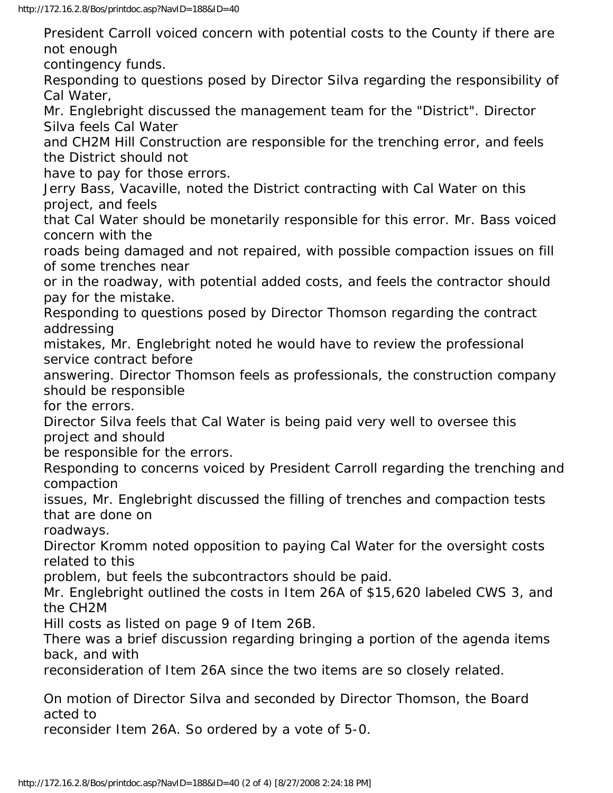President Carroll voiced concern with potential costs to the County if there are not enough contingency funds. Responding to questions posed by Director Silva regarding the responsibility of Cal Water, Mr. Englebright discussed the management team for the "District". Director Silva feels Cal Water and CH2M Hill Construction are responsible for the trenching error, and feels the District should not have to pay for those errors. Jerry Bass, Vacaville, noted the District contracting with Cal Water on this project, and feels that Cal Water should be monetarily responsible for this error. Mr. Bass voiced concern with the roads being damaged and not repaired, with possible compaction issues on fill of some trenches near or in the roadway, with potential added costs, and feels the contractor should pay for the mistake. Responding to questions posed by Director Thomson regarding the contract addressing mistakes, Mr. Englebright noted he would have to review the professional service contract before answering. Director Thomson feels as professionals, the construction company should be responsible for the errors. Director Silva feels that Cal Water is being paid very well to oversee this project and should be responsible for the errors. Responding to concerns voiced by President Carroll regarding the trenching and compaction issues, Mr. Englebright discussed the filling of trenches and compaction tests that are done on roadways. Director Kromm noted opposition to paying Cal Water for the oversight costs related to this problem, but feels the subcontractors should be paid. Mr. Englebright outlined the costs in Item 26A of \$15,620 labeled CWS 3, and the CH2M Hill costs as listed on page 9 of Item 26B. There was a brief discussion regarding bringing a portion of the agenda items back, and with reconsideration of Item 26A since the two items are so closely related. On motion of Director Silva and seconded by Director Thomson, the Board acted to

reconsider Item 26A. So ordered by a vote of 5-0.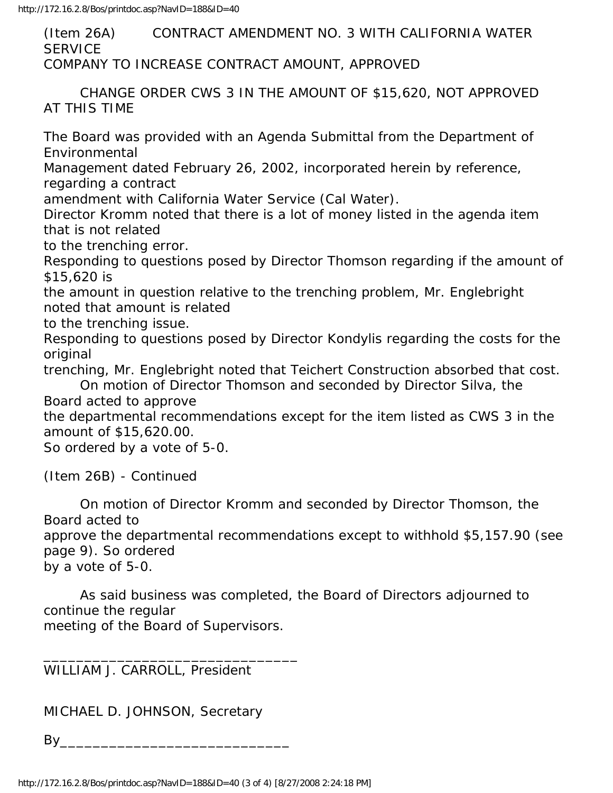(Item 26A) CONTRACT AMENDMENT NO. 3 WITH CALIFORNIA WATER **SERVICE** COMPANY TO INCREASE CONTRACT AMOUNT, APPROVED

 CHANGE ORDER CWS 3 IN THE AMOUNT OF \$15,620, NOT APPROVED AT THIS TIME

The Board was provided with an Agenda Submittal from the Department of Environmental

Management dated February 26, 2002, incorporated herein by reference, regarding a contract

amendment with California Water Service (Cal Water).

Director Kromm noted that there is a lot of money listed in the agenda item that is not related

to the trenching error.

Responding to questions posed by Director Thomson regarding if the amount of \$15,620 is

the amount in question relative to the trenching problem, Mr. Englebright noted that amount is related

to the trenching issue.

Responding to questions posed by Director Kondylis regarding the costs for the original

trenching, Mr. Englebright noted that Teichert Construction absorbed that cost.

 On motion of Director Thomson and seconded by Director Silva, the Board acted to approve

the departmental recommendations except for the item listed as CWS 3 in the amount of \$15,620.00.

So ordered by a vote of 5-0.

(Item 26B) - Continued

 On motion of Director Kromm and seconded by Director Thomson, the Board acted to

approve the departmental recommendations except to withhold \$5,157.90 (see page 9). So ordered

by a vote of 5-0.

 As said business was completed, the Board of Directors adjourned to continue the regular meeting of the Board of Supervisors.

WILLIAM J. CARROLL, President

MICHAEL D. JOHNSON, Secretary

 $\mathsf{By}$ 

\_\_\_\_\_\_\_\_\_\_\_\_\_\_\_\_\_\_\_\_\_\_\_\_\_\_\_\_\_\_\_